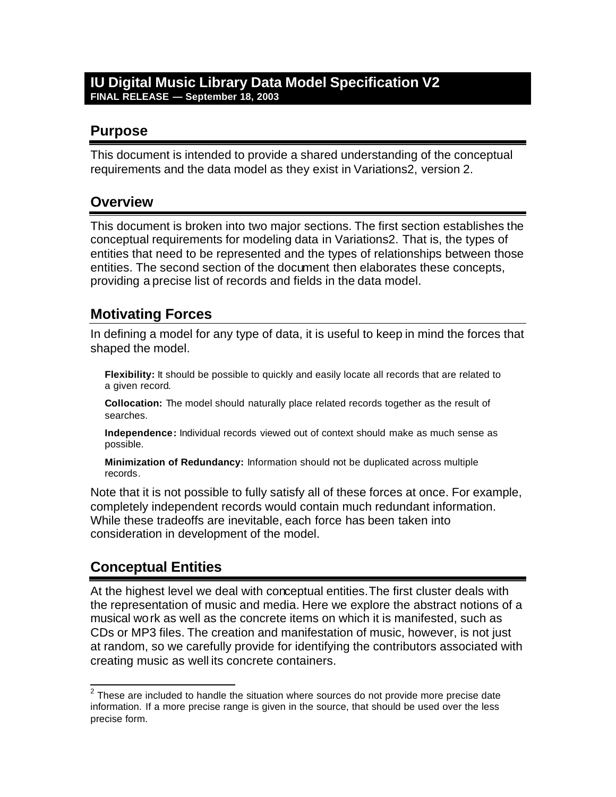#### **IU Digital Music Library Data Model Specification V2 FINAL RELEASE — September 18, 2003**

### **Purpose**

This document is intended to provide a shared understanding of the conceptual requirements and the data model as they exist in Variations2, version 2.

### **Overview**

This document is broken into two major sections. The first section establishes the conceptual requirements for modeling data in Variations2. That is, the types of entities that need to be represented and the types of relationships between those entities. The second section of the document then elaborates these concepts, providing a precise list of records and fields in the data model.

### **Motivating Forces**

In defining a model for any type of data, it is useful to keep in mind the forces that shaped the model.

**Flexibility:** It should be possible to quickly and easily locate all records that are related to a given record.

**Collocation:** The model should naturally place related records together as the result of searches.

**Independence:** Individual records viewed out of context should make as much sense as possible.

**Minimization of Redundancy:** Information should not be duplicated across multiple records.

Note that it is not possible to fully satisfy all of these forces at once. For example, completely independent records would contain much redundant information. While these tradeoffs are inevitable, each force has been taken into consideration in development of the model.

## **Conceptual Entities**

At the highest level we deal with conceptual entities.The first cluster deals with the representation of music and media. Here we explore the abstract notions of a musical work as well as the concrete items on which it is manifested, such as CDs or MP3 files. The creation and manifestation of music, however, is not just at random, so we carefully provide for identifying the contributors associated with creating music as well its concrete containers.

**EXECUTE:**<br><sup>2</sup> These are included to handle the situation where sources do not provide more precise date information. If a more precise range is given in the source, that should be used over the less precise form.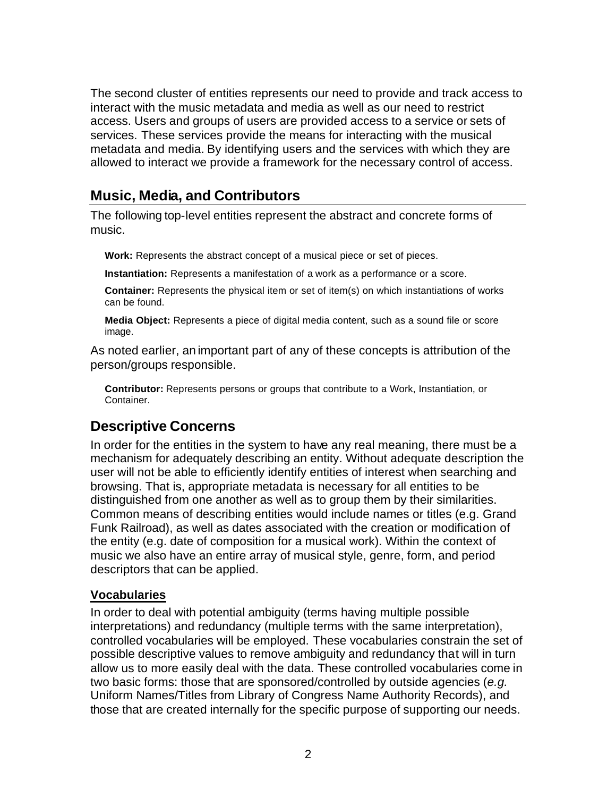The second cluster of entities represents our need to provide and track access to interact with the music metadata and media as well as our need to restrict access. Users and groups of users are provided access to a service or sets of services. These services provide the means for interacting with the musical metadata and media. By identifying users and the services with which they are allowed to interact we provide a framework for the necessary control of access.

### **Music, Media, and Contributors**

The following top-level entities represent the abstract and concrete forms of music.

**Work:** Represents the abstract concept of a musical piece or set of pieces.

**Instantiation:** Represents a manifestation of a work as a performance or a score.

**Container:** Represents the physical item or set of item(s) on which instantiations of works can be found.

**Media Object:** Represents a piece of digital media content, such as a sound file or score image.

As noted earlier, an important part of any of these concepts is attribution of the person/groups responsible.

**Contributor:** Represents persons or groups that contribute to a Work, Instantiation, or Container.

#### **Descriptive Concerns**

In order for the entities in the system to have any real meaning, there must be a mechanism for adequately describing an entity. Without adequate description the user will not be able to efficiently identify entities of interest when searching and browsing. That is, appropriate metadata is necessary for all entities to be distinguished from one another as well as to group them by their similarities. Common means of describing entities would include names or titles (e.g. Grand Funk Railroad), as well as dates associated with the creation or modification of the entity (e.g. date of composition for a musical work). Within the context of music we also have an entire array of musical style, genre, form, and period descriptors that can be applied.

#### **Vocabularies**

In order to deal with potential ambiguity (terms having multiple possible interpretations) and redundancy (multiple terms with the same interpretation), controlled vocabularies will be employed. These vocabularies constrain the set of possible descriptive values to remove ambiguity and redundancy that will in turn allow us to more easily deal with the data. These controlled vocabularies come in two basic forms: those that are sponsored/controlled by outside agencies (*e.g.* Uniform Names/Titles from Library of Congress Name Authority Records), and those that are created internally for the specific purpose of supporting our needs.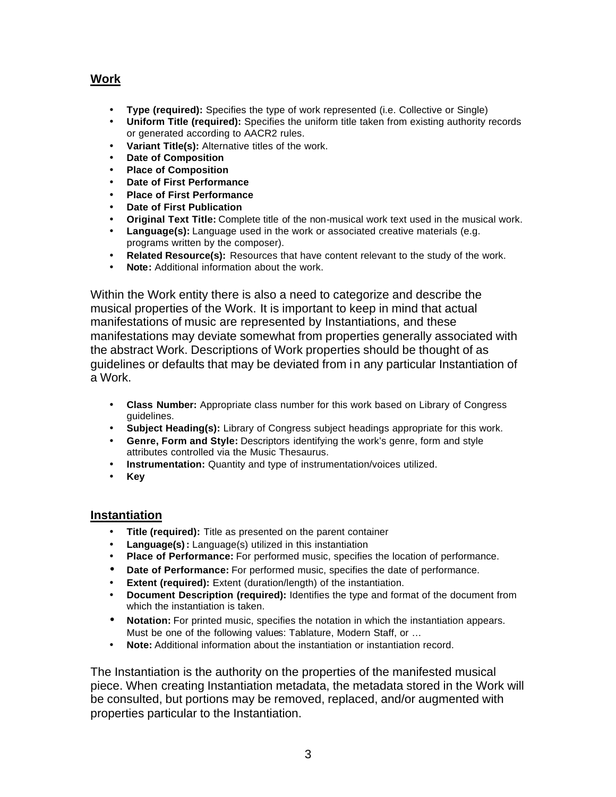#### **Work**

- **Type (required):** Specifies the type of work represented (i.e. Collective or Single)
- **Uniform Title (required):** Specifies the uniform title taken from existing authority records or generated according to AACR2 rules.
- **Variant Title(s):** Alternative titles of the work.
- **Date of Composition**
- **Place of Composition**
- **Date of First Performance**
- **Place of First Performance**
- **Date of First Publication**
- **Original Text Title:** Complete title of the non-musical work text used in the musical work.
- **Language(s):** Language used in the work or associated creative materials (e.g. programs written by the composer).
- **Related Resource(s):** Resources that have content relevant to the study of the work.
- **Note:** Additional information about the work.

Within the Work entity there is also a need to categorize and describe the musical properties of the Work. It is important to keep in mind that actual manifestations of music are represented by Instantiations, and these manifestations may deviate somewhat from properties generally associated with the abstract Work. Descriptions of Work properties should be thought of as guidelines or defaults that may be deviated from in any particular Instantiation of a Work.

- **Class Number:** Appropriate class number for this work based on Library of Congress guidelines.
- **Subject Heading(s):** Library of Congress subject headings appropriate for this work.
- **Genre, Form and Style:** Descriptors identifying the work's genre, form and style attributes controlled via the Music Thesaurus.
- **Instrumentation:** Quantity and type of instrumentation/voices utilized.
- **Key**

#### **Instantiation**

- **Title (required):** Title as presented on the parent container
- **Language(s):** Language(s) utilized in this instantiation
- **Place of Performance:** For performed music, specifies the location of performance.
- **Date of Performance:** For performed music, specifies the date of performance.
- **Extent (required):** Extent (duration/length) of the instantiation.
- **Document Description (required):** Identifies the type and format of the document from which the instantiation is taken.
- **Notation:** For printed music, specifies the notation in which the instantiation appears. Must be one of the following values: Tablature, Modern Staff, or …
- **Note:** Additional information about the instantiation or instantiation record.

The Instantiation is the authority on the properties of the manifested musical piece. When creating Instantiation metadata, the metadata stored in the Work will be consulted, but portions may be removed, replaced, and/or augmented with properties particular to the Instantiation.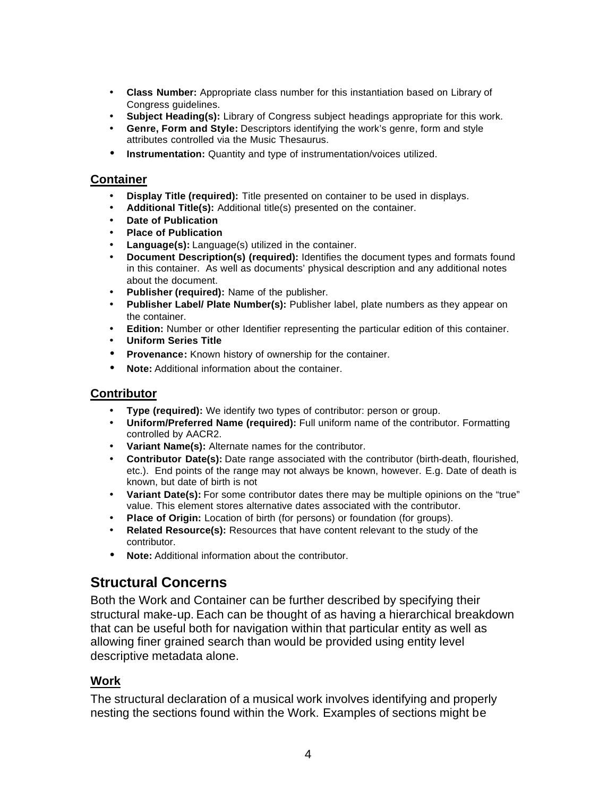- **Class Number:** Appropriate class number for this instantiation based on Library of Congress guidelines.
- **Subject Heading(s):** Library of Congress subject headings appropriate for this work.
- **Genre, Form and Style:** Descriptors identifying the work's genre, form and style attributes controlled via the Music Thesaurus.
- **Instrumentation:** Quantity and type of instrumentation/voices utilized.

#### **Container**

- **Display Title (required):** Title presented on container to be used in displays.
- **Additional Title(s):** Additional title(s) presented on the container.
- **Date of Publication**
- **Place of Publication**
- **Language(s):** Language(s) utilized in the container.
- **Document Description(s) (required):** Identifies the document types and formats found in this container. As well as documents' physical description and any additional notes about the document.
- **Publisher (required):** Name of the publisher.
- **Publisher Label/ Plate Number(s):** Publisher label, plate numbers as they appear on the container.
- **Edition:** Number or other Identifier representing the particular edition of this container.
- **Uniform Series Title**
- **Provenance:** Known history of ownership for the container.
- **Note:** Additional information about the container.

#### **Contributor**

- **Type (required):** We identify two types of contributor: person or group.
- **Uniform/Preferred Name (required):** Full uniform name of the contributor. Formatting controlled by AACR2.
- **Variant Name(s):** Alternate names for the contributor.
- **Contributor Date(s):** Date range associated with the contributor (birth-death, flourished, etc.). End points of the range may not always be known, however. E.g. Date of death is known, but date of birth is not
- Variant Date(s): For some contributor dates there may be multiple opinions on the "true" value. This element stores alternative dates associated with the contributor.
- **Place of Origin:** Location of birth (for persons) or foundation (for groups).
- **Related Resource(s):** Resources that have content relevant to the study of the contributor.
- **Note:** Additional information about the contributor.

### **Structural Concerns**

Both the Work and Container can be further described by specifying their structural make-up. Each can be thought of as having a hierarchical breakdown that can be useful both for navigation within that particular entity as well as allowing finer grained search than would be provided using entity level descriptive metadata alone.

#### **Work**

The structural declaration of a musical work involves identifying and properly nesting the sections found within the Work. Examples of sections might be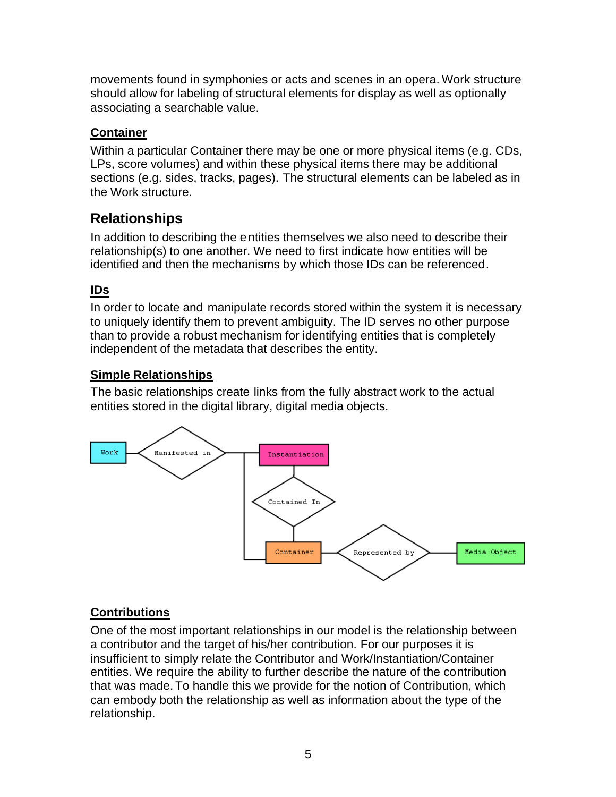movements found in symphonies or acts and scenes in an opera. Work structure should allow for labeling of structural elements for display as well as optionally associating a searchable value.

#### **Container**

Within a particular Container there may be one or more physical items (e.g. CDs, LPs, score volumes) and within these physical items there may be additional sections (e.g. sides, tracks, pages). The structural elements can be labeled as in the Work structure.

## **Relationships**

In addition to describing the entities themselves we also need to describe their relationship(s) to one another. We need to first indicate how entities will be identified and then the mechanisms by which those IDs can be referenced.

#### **IDs**

In order to locate and manipulate records stored within the system it is necessary to uniquely identify them to prevent ambiguity. The ID serves no other purpose than to provide a robust mechanism for identifying entities that is completely independent of the metadata that describes the entity.

#### **Simple Relationships**

The basic relationships create links from the fully abstract work to the actual entities stored in the digital library, digital media objects.



#### **Contributions**

One of the most important relationships in our model is the relationship between a contributor and the target of his/her contribution. For our purposes it is insufficient to simply relate the Contributor and Work/Instantiation/Container entities. We require the ability to further describe the nature of the contribution that was made. To handle this we provide for the notion of Contribution, which can embody both the relationship as well as information about the type of the relationship.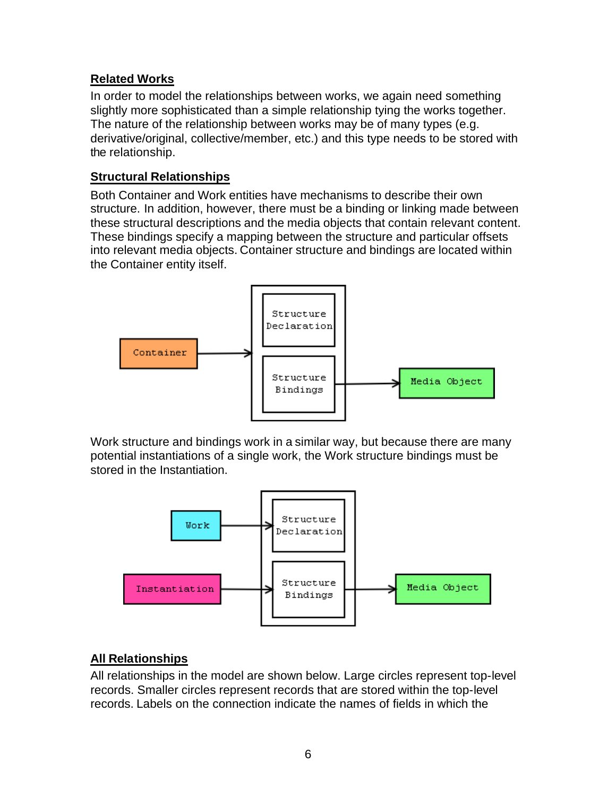#### **Related Works**

In order to model the relationships between works, we again need something slightly more sophisticated than a simple relationship tying the works together. The nature of the relationship between works may be of many types (e.g. derivative/original, collective/member, etc.) and this type needs to be stored with the relationship.

#### **Structural Relationships**

Both Container and Work entities have mechanisms to describe their own structure. In addition, however, there must be a binding or linking made between these structural descriptions and the media objects that contain relevant content. These bindings specify a mapping between the structure and particular offsets into relevant media objects. Container structure and bindings are located within the Container entity itself.



Work structure and bindings work in a similar way, but because there are many potential instantiations of a single work, the Work structure bindings must be stored in the Instantiation.



#### **All Relationships**

All relationships in the model are shown below. Large circles represent top-level records. Smaller circles represent records that are stored within the top-level records. Labels on the connection indicate the names of fields in which the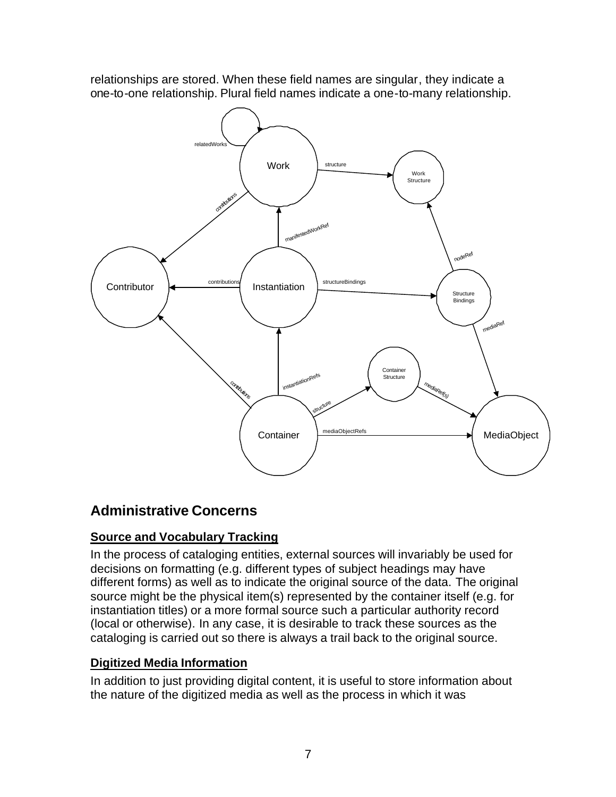relationships are stored. When these field names are singular, they indicate a one-to-one relationship. Plural field names indicate a one-to-many relationship.



# **Administrative Concerns**

### **Source and Vocabulary Tracking**

In the process of cataloging entities, external sources will invariably be used for decisions on formatting (e.g. different types of subject headings may have different forms) as well as to indicate the original source of the data. The original source might be the physical item(s) represented by the container itself (e.g. for instantiation titles) or a more formal source such a particular authority record (local or otherwise). In any case, it is desirable to track these sources as the cataloging is carried out so there is always a trail back to the original source.

### **Digitized Media Information**

In addition to just providing digital content, it is useful to store information about the nature of the digitized media as well as the process in which it was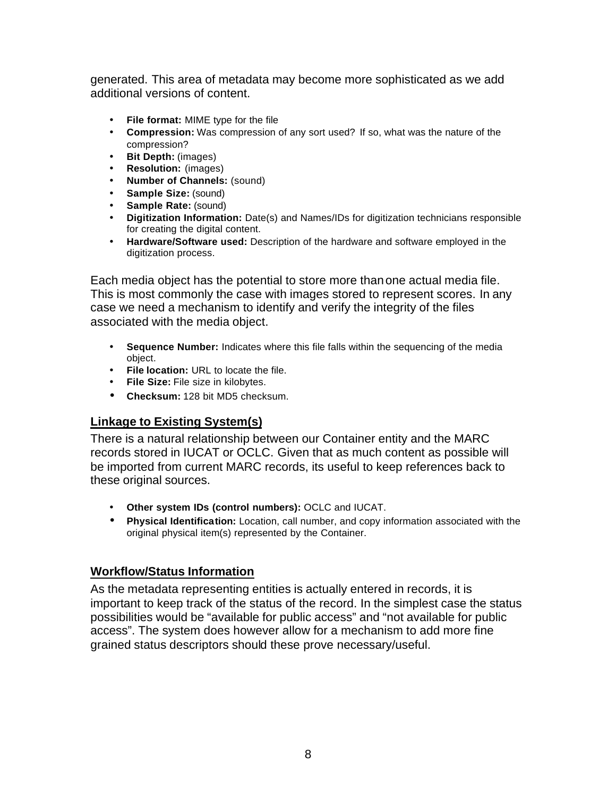generated. This area of metadata may become more sophisticated as we add additional versions of content.

- **File format:** MIME type for the file
- **Compression:** Was compression of any sort used? If so, what was the nature of the compression?
- **Bit Depth:** (images)
- **Resolution:** (images)
- **Number of Channels:** (sound)
- **Sample Size:** (sound)
- **Sample Rate:** (sound)
- **Digitization Information:** Date(s) and Names/IDs for digitization technicians responsible for creating the digital content.
- **Hardware/Software used:** Description of the hardware and software employed in the digitization process.

Each media object has the potential to store more than one actual media file. This is most commonly the case with images stored to represent scores. In any case we need a mechanism to identify and verify the integrity of the files associated with the media object.

- **Sequence Number:** Indicates where this file falls within the sequencing of the media object.
- **File location:** URL to locate the file.
- **File Size:** File size in kilobytes.
- **Checksum:** 128 bit MD5 checksum.

#### **Linkage to Existing System(s)**

There is a natural relationship between our Container entity and the MARC records stored in IUCAT or OCLC. Given that as much content as possible will be imported from current MARC records, its useful to keep references back to these original sources.

- **Other system IDs (control numbers):** OCLC and IUCAT.
- **Physical Identification:** Location, call number, and copy information associated with the original physical item(s) represented by the Container.

#### **Workflow/Status Information**

As the metadata representing entities is actually entered in records, it is important to keep track of the status of the record. In the simplest case the status possibilities would be "available for public access" and "not available for public access". The system does however allow for a mechanism to add more fine grained status descriptors should these prove necessary/useful.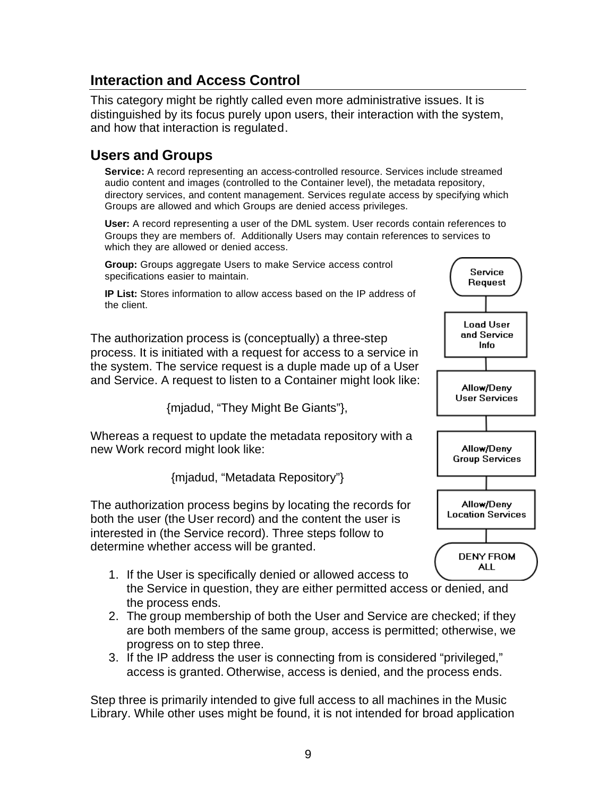### **Interaction and Access Control**

This category might be rightly called even more administrative issues. It is distinguished by its focus purely upon users, their interaction with the system, and how that interaction is regulated.

### **Users and Groups**

**Service:** A record representing an access-controlled resource. Services include streamed audio content and images (controlled to the Container level), the metadata repository, directory services, and content management. Services regulate access by specifying which Groups are allowed and which Groups are denied access privileges.

**User:** A record representing a user of the DML system. User records contain references to Groups they are members of. Additionally Users may contain references to services to which they are allowed or denied access.

**Group:** Groups aggregate Users to make Service access control specifications easier to maintain.

**IP List:** Stores information to allow access based on the IP address of the client.

The authorization process is (conceptually) a three-step process. It is initiated with a request for access to a service in the system. The service request is a duple made up of a User and Service. A request to listen to a Container might look like:

{mjadud, "They Might Be Giants"},

Whereas a request to update the metadata repository with a new Work record might look like:

{mjadud, "Metadata Repository"}

The authorization process begins by locating the records for both the user (the User record) and the content the user is interested in (the Service record). Three steps follow to determine whether access will be granted.

- 1. If the User is specifically denied or allowed access to the Service in question, they are either permitted access or denied, and the process ends.
- 2. The group membership of both the User and Service are checked; if they are both members of the same group, access is permitted; otherwise, we progress on to step three.
- 3. If the IP address the user is connecting from is considered "privileged," access is granted. Otherwise, access is denied, and the process ends.

Step three is primarily intended to give full access to all machines in the Music Library. While other uses might be found, it is not intended for broad application

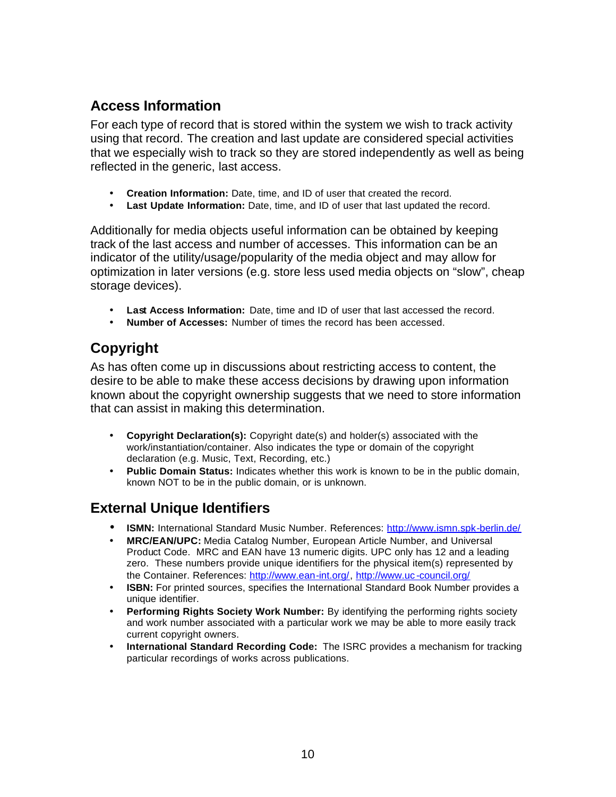## **Access Information**

For each type of record that is stored within the system we wish to track activity using that record. The creation and last update are considered special activities that we especially wish to track so they are stored independently as well as being reflected in the generic, last access.

- **Creation Information:** Date, time, and ID of user that created the record.
- **Last Update Information:** Date, time, and ID of user that last updated the record.

Additionally for media objects useful information can be obtained by keeping track of the last access and number of accesses. This information can be an indicator of the utility/usage/popularity of the media object and may allow for optimization in later versions (e.g. store less used media objects on "slow", cheap storage devices).

- **Last Access Information:** Date, time and ID of user that last accessed the record.
- **Number of Accesses:** Number of times the record has been accessed.

# **Copyright**

As has often come up in discussions about restricting access to content, the desire to be able to make these access decisions by drawing upon information known about the copyright ownership suggests that we need to store information that can assist in making this determination.

- **Copyright Declaration(s):** Copyright date(s) and holder(s) associated with the work/instantiation/container. Also indicates the type or domain of the copyright declaration (e.g. Music, Text, Recording, etc.)
- **Public Domain Status:** Indicates whether this work is known to be in the public domain, known NOT to be in the public domain, or is unknown.

## **External Unique Identifiers**

- **ISMN:** International Standard Music Number. References: http://www.ismn.spk-berlin.de/
- **MRC/EAN/UPC:** Media Catalog Number, European Article Number, and Universal Product Code. MRC and EAN have 13 numeric digits. UPC only has 12 and a leading zero. These numbers provide unique identifiers for the physical item(s) represented by the Container. References: http://www.ean-int.org/, http://www.uc-council.org/
- **ISBN:** For printed sources, specifies the International Standard Book Number provides a unique identifier.
- **Performing Rights Society Work Number:** By identifying the performing rights society and work number associated with a particular work we may be able to more easily track current copyright owners.
- **International Standard Recording Code:** The ISRC provides a mechanism for tracking particular recordings of works across publications.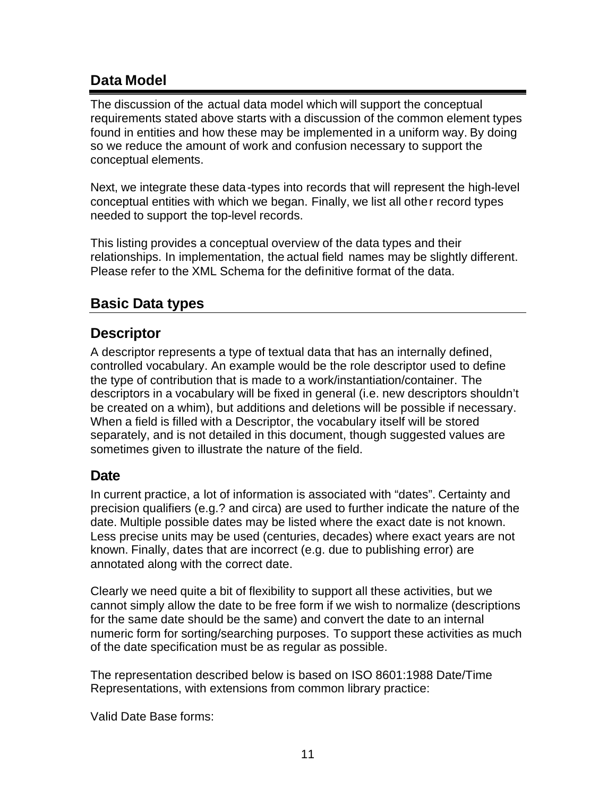## **Data Model**

The discussion of the actual data model which will support the conceptual requirements stated above starts with a discussion of the common element types found in entities and how these may be implemented in a uniform way. By doing so we reduce the amount of work and confusion necessary to support the conceptual elements.

Next, we integrate these data-types into records that will represent the high-level conceptual entities with which we began. Finally, we list all other record types needed to support the top-level records.

This listing provides a conceptual overview of the data types and their relationships. In implementation, the actual field names may be slightly different. Please refer to the XML Schema for the definitive format of the data.

### **Basic Data types**

### **Descriptor**

A descriptor represents a type of textual data that has an internally defined, controlled vocabulary. An example would be the role descriptor used to define the type of contribution that is made to a work/instantiation/container. The descriptors in a vocabulary will be fixed in general (i.e. new descriptors shouldn't be created on a whim), but additions and deletions will be possible if necessary. When a field is filled with a Descriptor, the vocabulary itself will be stored separately, and is not detailed in this document, though suggested values are sometimes given to illustrate the nature of the field.

### **Date**

In current practice, a lot of information is associated with "dates". Certainty and precision qualifiers (e.g.? and circa) are used to further indicate the nature of the date. Multiple possible dates may be listed where the exact date is not known. Less precise units may be used (centuries, decades) where exact years are not known. Finally, dates that are incorrect (e.g. due to publishing error) are annotated along with the correct date.

Clearly we need quite a bit of flexibility to support all these activities, but we cannot simply allow the date to be free form if we wish to normalize (descriptions for the same date should be the same) and convert the date to an internal numeric form for sorting/searching purposes. To support these activities as much of the date specification must be as regular as possible.

The representation described below is based on ISO 8601:1988 Date/Time Representations, with extensions from common library practice:

Valid Date Base forms: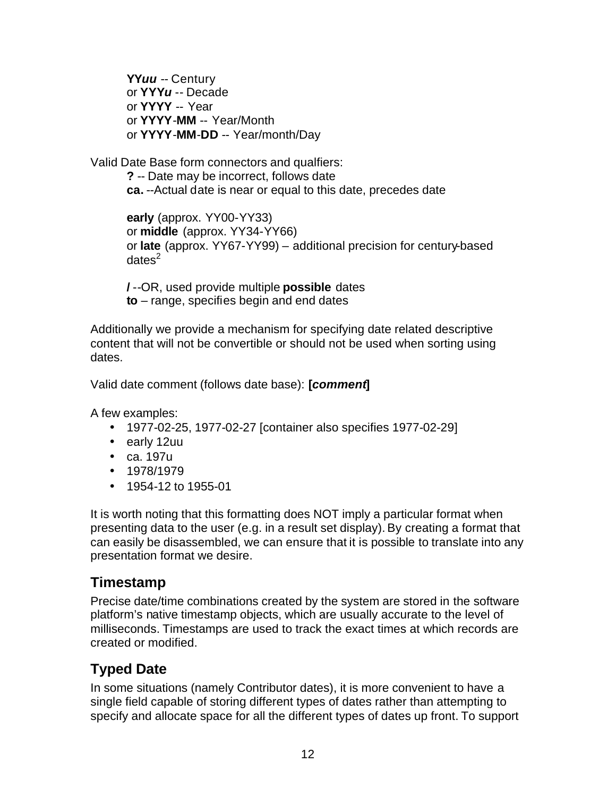**YY***uu* -- Century or **YYY***u* -- Decade or **YYYY** -- Year or **YYYY**-**MM** -- Year/Month or **YYYY**-**MM**-**DD** -- Year/month/Day

Valid Date Base form connectors and qualfiers:

**?** -- Date may be incorrect, follows date **ca.** --Actual date is near or equal to this date, precedes date

**early** (approx. YY00-YY33) or **middle** (approx. YY34-YY66) or **late** (approx. YY67-YY99) – additional precision for century-based  $d$ ates $^2$ 

**/** --OR, used provide multiple **possible** dates **to** – range, specifies begin and end dates

Additionally we provide a mechanism for specifying date related descriptive content that will not be convertible or should not be used when sorting using dates.

Valid date comment (follows date base): **[***comment***]**

A few examples:

- 1977-02-25, 1977-02-27 [container also specifies 1977-02-29]
- early 12uu
- ca. 197u
- 1978/1979
- 1954-12 to 1955-01

It is worth noting that this formatting does NOT imply a particular format when presenting data to the user (e.g. in a result set display). By creating a format that can easily be disassembled, we can ensure that it is possible to translate into any presentation format we desire.

## **Timestamp**

Precise date/time combinations created by the system are stored in the software platform's native timestamp objects, which are usually accurate to the level of milliseconds. Timestamps are used to track the exact times at which records are created or modified.

# **Typed Date**

In some situations (namely Contributor dates), it is more convenient to have a single field capable of storing different types of dates rather than attempting to specify and allocate space for all the different types of dates up front. To support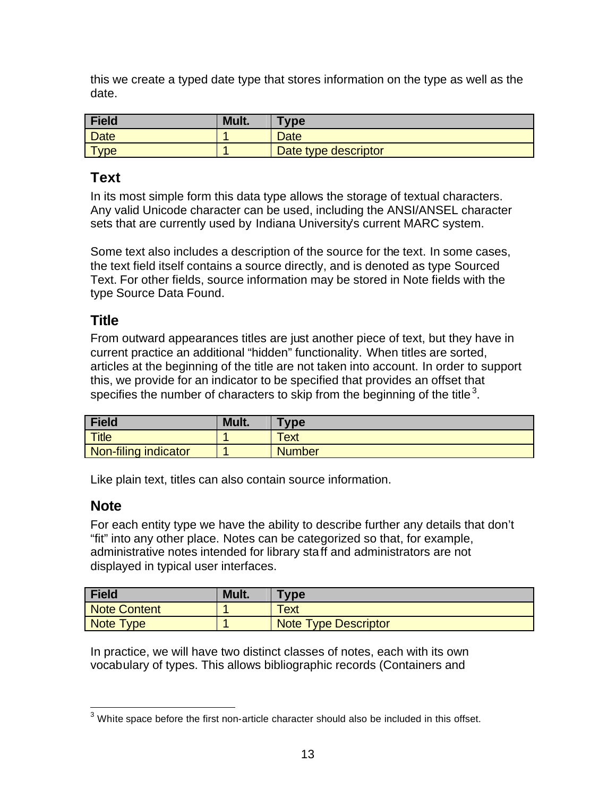this we create a typed date type that stores information on the type as well as the date.

| <b>Field</b> | Mult. | <b>Type</b>          |
|--------------|-------|----------------------|
| <b>Date</b>  |       | <b>Date</b>          |
| <b>Type</b>  |       | Date type descriptor |

### **Text**

In its most simple form this data type allows the storage of textual characters. Any valid Unicode character can be used, including the ANSI/ANSEL character sets that are currently used by Indiana University's current MARC system.

Some text also includes a description of the source for the text. In some cases, the text field itself contains a source directly, and is denoted as type Sourced Text. For other fields, source information may be stored in Note fields with the type Source Data Found.

### **Title**

From outward appearances titles are just another piece of text, but they have in current practice an additional "hidden" functionality. When titles are sorted, articles at the beginning of the title are not taken into account. In order to support this, we provide for an indicator to be specified that provides an offset that specifies the number of characters to skip from the beginning of the title<sup>3</sup>.

| Field                | Mult. | Type          |
|----------------------|-------|---------------|
| <b>Title</b>         |       | Text          |
| Non-filing indicator |       | <b>Number</b> |

Like plain text, titles can also contain source information.

#### **Note**

For each entity type we have the ability to describe further any details that don't "fit" into any other place. Notes can be categorized so that, for example, administrative notes intended for library staff and administrators are not displayed in typical user interfaces.

| <b>Field</b> | Mult. | <b>Type</b>                 |
|--------------|-------|-----------------------------|
| Note Content |       | Text                        |
| Note Type    |       | <b>Note Type Descriptor</b> |

In practice, we will have two distinct classes of notes, each with its own vocabulary of types. This allows bibliographic records (Containers and

White space before the first non-article character should also be included in this offset.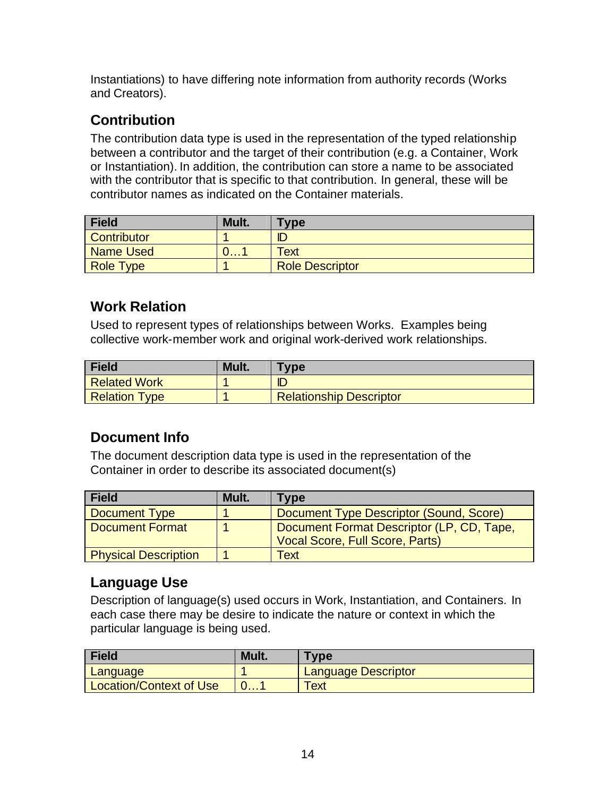Instantiations) to have differing note information from authority records (Works and Creators).

# **Contribution**

The contribution data type is used in the representation of the typed relationship between a contributor and the target of their contribution (e.g. a Container, Work or Instantiation). In addition, the contribution can store a name to be associated with the contributor that is specific to that contribution. In general, these will be contributor names as indicated on the Container materials.

| <b>Field</b>     | Mult. | Type                   |
|------------------|-------|------------------------|
| Contributor      |       | ID                     |
| <b>Name Used</b> | U. I  | Text                   |
| <b>Role Type</b> |       | <b>Role Descriptor</b> |

# **Work Relation**

Used to represent types of relationships between Works. Examples being collective work-member work and original work-derived work relationships.

| <b>Field</b>         | Mult. | <b>Type</b>                    |
|----------------------|-------|--------------------------------|
| Related Work         |       | ID                             |
| <b>Relation Type</b> |       | <b>Relationship Descriptor</b> |

# **Document Info**

The document description data type is used in the representation of the Container in order to describe its associated document(s)

| <b>Field</b>                | Mult. | Type                                                                                |
|-----------------------------|-------|-------------------------------------------------------------------------------------|
| Document Type               |       | Document Type Descriptor (Sound, Score)                                             |
| <b>Document Format</b>      |       | Document Format Descriptor (LP, CD, Tape,<br><b>Vocal Score, Full Score, Parts)</b> |
| <b>Physical Description</b> |       | Text                                                                                |

# **Language Use**

Description of language(s) used occurs in Work, Instantiation, and Containers. In each case there may be desire to indicate the nature or context in which the particular language is being used.

| <b>Field</b>                   | Mult. | Tvpe                       |
|--------------------------------|-------|----------------------------|
| Language                       |       | <b>Language Descriptor</b> |
| <b>Location/Context of Use</b> |       | <b>Text</b>                |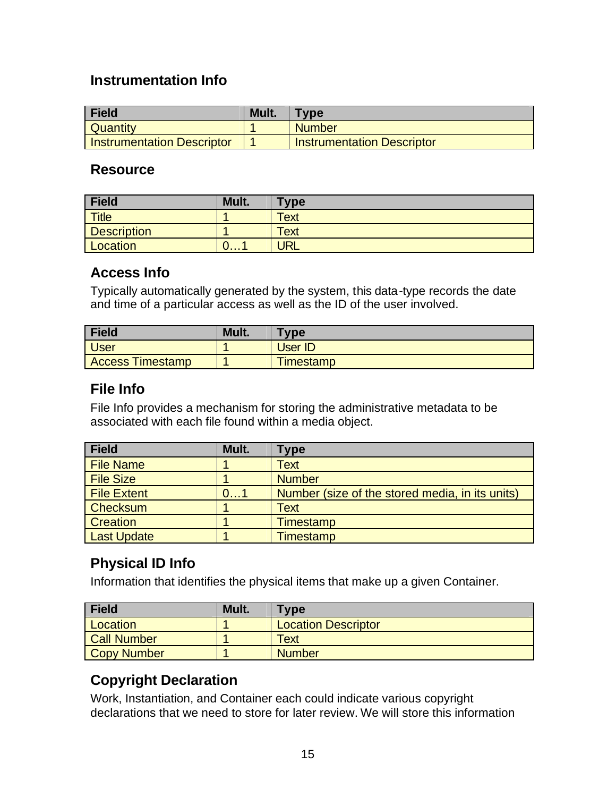### **Instrumentation Info**

| <b>Field</b>                      | Mult. | <b>Type</b>                       |
|-----------------------------------|-------|-----------------------------------|
| <b>Quantity</b>                   |       | <b>Number</b>                     |
| <b>Instrumentation Descriptor</b> |       | <b>Instrumentation Descriptor</b> |

#### **Resource**

| Field                          | Mult.        | <b>Type</b> |
|--------------------------------|--------------|-------------|
| $\overline{\phantom{a}}$ Title |              | Text        |
| <b>Description</b>             |              | <b>Text</b> |
| Location                       | <u> U. I</u> | <b>JRL</b>  |

#### **Access Info**

Typically automatically generated by the system, this data-type records the date and time of a particular access as well as the ID of the user involved.

| <b>Field</b>            | Mult. | <b>Type</b>      |
|-------------------------|-------|------------------|
| <b>User</b>             |       | User ID          |
| <b>Access Timestamp</b> |       | <b>Timestamp</b> |

## **File Info**

File Info provides a mechanism for storing the administrative metadata to be associated with each file found within a media object.

| <b>Field</b>       | Mult. | Type                                            |
|--------------------|-------|-------------------------------------------------|
| <b>File Name</b>   |       | <b>Text</b>                                     |
| <b>File Size</b>   |       | <b>Number</b>                                   |
| <b>File Extent</b> | 01    | Number (size of the stored media, in its units) |
| Checksum           |       | <b>Text</b>                                     |
| <b>Creation</b>    |       | Timestamp                                       |
| <b>Last Update</b> |       | Timestamp                                       |

## **Physical ID Info**

Information that identifies the physical items that make up a given Container.

| <b>Field</b>       | Mult. | Гуре                       |
|--------------------|-------|----------------------------|
| Location           |       | <b>Location Descriptor</b> |
| <b>Call Number</b> |       | Text                       |
| <b>Copy Number</b> |       | <b>Number</b>              |

# **Copyright Declaration**

Work, Instantiation, and Container each could indicate various copyright declarations that we need to store for later review. We will store this information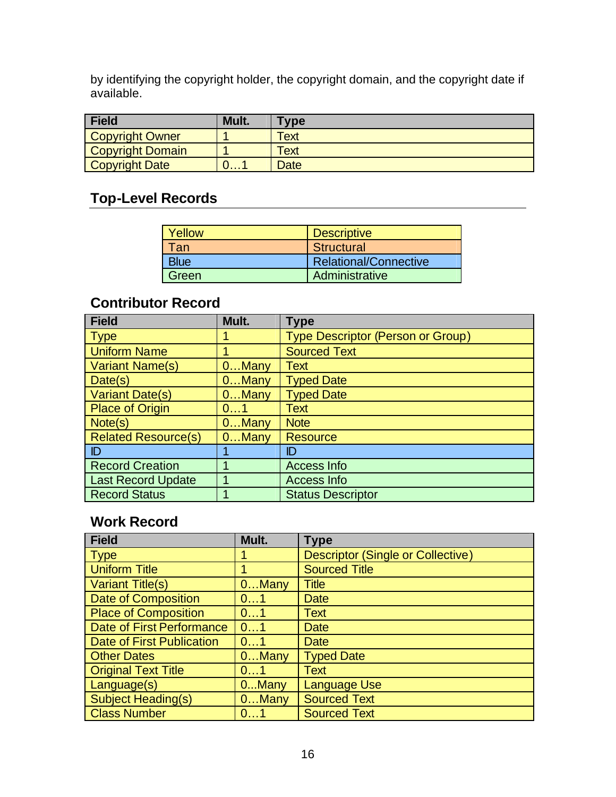by identifying the copyright holder, the copyright domain, and the copyright date if available.

| Field                   | Mult. | <b>Type</b> |
|-------------------------|-------|-------------|
| <b>Copyright Owner</b>  |       | <b>Text</b> |
| <b>Copyright Domain</b> |       | Text        |
| <b>Copyright Date</b>   |       | <b>Date</b> |

# **Top-Level Records**

| <b>Yellow</b> | <b>Descriptive</b>    |
|---------------|-----------------------|
| Tan           | <b>Structural</b>     |
| <b>Blue</b>   | Relational/Connective |
| l Green       | Administrative        |

## **Contributor Record**

| <b>Field</b>               | Mult.    | <b>Type</b>                              |
|----------------------------|----------|------------------------------------------|
| <b>Type</b>                |          | <b>Type Descriptor (Person or Group)</b> |
| <b>Uniform Name</b>        |          | <b>Sourced Text</b>                      |
| Variant Name(s)            | $0$ Many | <b>Text</b>                              |
| Date(s)                    | $0$ Many | <b>Typed Date</b>                        |
| <b>Variant Date(s)</b>     | $0$ Many | <b>Typed Date</b>                        |
| <b>Place of Origin</b>     | 01       | <b>Text</b>                              |
| Note(s)                    | $0$ Many | <b>Note</b>                              |
| <b>Related Resource(s)</b> | $0$ Many | <b>Resource</b>                          |
| ID                         |          | ID                                       |
| <b>Record Creation</b>     |          | <b>Access Info</b>                       |
| <b>Last Record Update</b>  |          | Access Info                              |
| <b>Record Status</b>       |          | <b>Status Descriptor</b>                 |

### **Work Record**

| <b>Field</b>                     | Mult.    | <b>Type</b>                              |
|----------------------------------|----------|------------------------------------------|
| <b>Type</b>                      |          | <b>Descriptor (Single or Collective)</b> |
| <b>Uniform Title</b>             |          | <b>Sourced Title</b>                     |
| <b>Variant Title(s)</b>          | $0$ Many | <b>Title</b>                             |
| <b>Date of Composition</b>       | 01       | Date                                     |
| <b>Place of Composition</b>      | 01       | <b>Text</b>                              |
| <b>Date of First Performance</b> | 01       | Date                                     |
| <b>Date of First Publication</b> | 01       | Date                                     |
| <b>Other Dates</b>               | $0$ Many | <b>Typed Date</b>                        |
| <b>Original Text Title</b>       | 01       | <b>Text</b>                              |
| Language(s)                      | 0Many    | <b>Language Use</b>                      |
| <b>Subject Heading(s)</b>        | $0$ Many | <b>Sourced Text</b>                      |
| <b>Class Number</b>              | 01       | <b>Sourced Text</b>                      |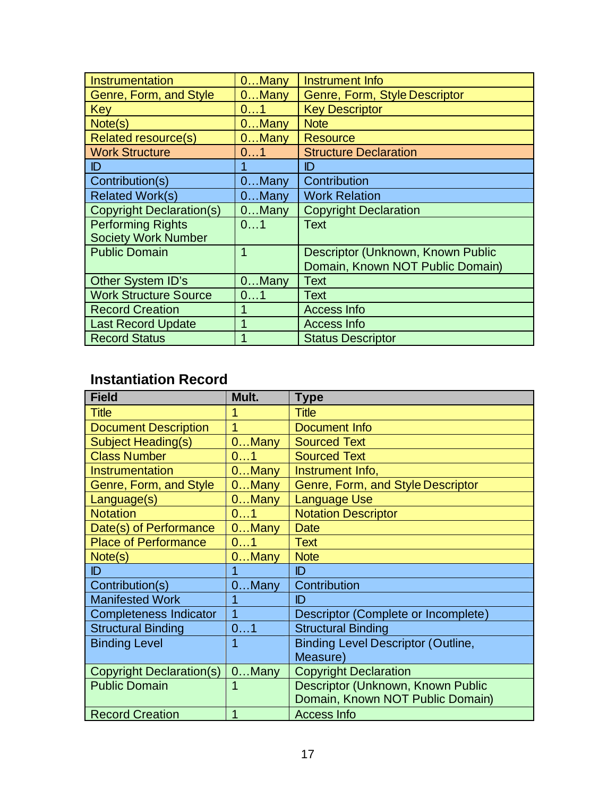| Instrumentation                 | $0$ Many | Instrument Info                   |
|---------------------------------|----------|-----------------------------------|
| Genre, Form, and Style          | $0$ Many | Genre, Form, Style Descriptor     |
| Key                             | 01       | <b>Key Descriptor</b>             |
| Note(s)                         | $0$ Many | <b>Note</b>                       |
| <b>Related resource(s)</b>      | $0$ Many | <b>Resource</b>                   |
| <b>Work Structure</b>           | 01       | <b>Structure Declaration</b>      |
| ID                              |          | ID                                |
| Contribution(s)                 | $0$ Many | Contribution                      |
| <b>Related Work(s)</b>          | $0$ Many | <b>Work Relation</b>              |
| <b>Copyright Declaration(s)</b> | $0$ Many | <b>Copyright Declaration</b>      |
| <b>Performing Rights</b>        | 01       | <b>Text</b>                       |
| <b>Society Work Number</b>      |          |                                   |
| <b>Public Domain</b>            | 1        | Descriptor (Unknown, Known Public |
|                                 |          | Domain, Known NOT Public Domain)  |
| <b>Other System ID's</b>        | $0$ Many | <b>Text</b>                       |
| <b>Work Structure Source</b>    | 01       | <b>Text</b>                       |
| <b>Record Creation</b>          | 1        | <b>Access Info</b>                |
| <b>Last Record Update</b>       | 1        | <b>Access Info</b>                |
| <b>Record Status</b>            |          | <b>Status Descriptor</b>          |

# **Instantiation Record**

| <b>Field</b>                    | Mult.    | <b>Type</b>                               |
|---------------------------------|----------|-------------------------------------------|
| <b>Title</b>                    |          | <b>Title</b>                              |
| <b>Document Description</b>     | 1        | Document Info                             |
| Subject Heading(s)              | $0$ Many | <b>Sourced Text</b>                       |
| <b>Class Number</b>             | 01       | <b>Sourced Text</b>                       |
| Instrumentation                 | $0$ Many | Instrument Info,                          |
| Genre, Form, and Style          | $0$ Many | Genre, Form, and Style Descriptor         |
| Language(s)                     | $0$ Many | <b>Language Use</b>                       |
| <b>Notation</b>                 | 01       | <b>Notation Descriptor</b>                |
| Date(s) of Performance          | $0$ Many | <b>Date</b>                               |
| <b>Place of Performance</b>     | 01       | <b>Text</b>                               |
| Note(s)                         | $0$ Many | <b>Note</b>                               |
| ID                              |          | ID                                        |
| Contribution(s)                 | $0$ Many | Contribution                              |
| <b>Manifested Work</b>          |          | ID                                        |
| <b>Completeness Indicator</b>   | 1        | Descriptor (Complete or Incomplete)       |
| <b>Structural Binding</b>       | 01       | <b>Structural Binding</b>                 |
| <b>Binding Level</b>            | 1        | <b>Binding Level Descriptor (Outline,</b> |
|                                 |          | Measure)                                  |
| <b>Copyright Declaration(s)</b> | $0$ Many | <b>Copyright Declaration</b>              |
| <b>Public Domain</b>            |          | Descriptor (Unknown, Known Public         |
|                                 |          | Domain, Known NOT Public Domain)          |
| <b>Record Creation</b>          | 1        | <b>Access Info</b>                        |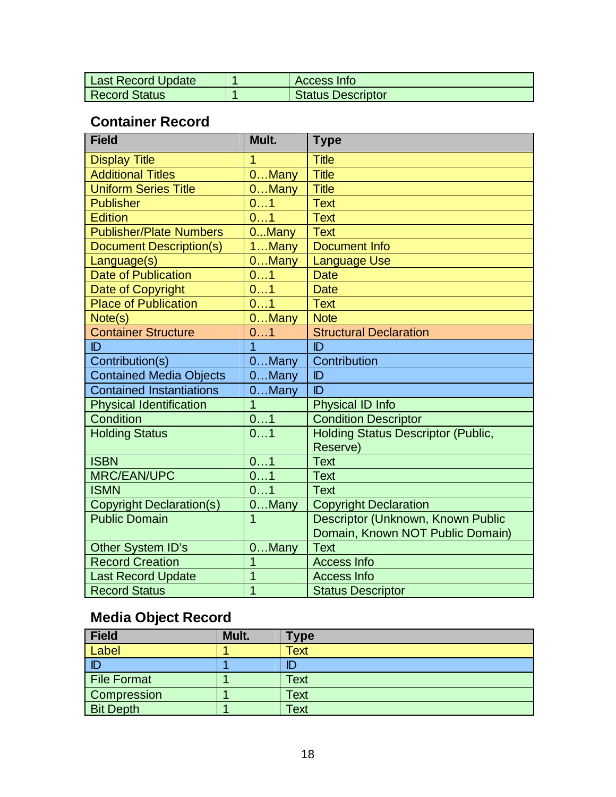| <b>Last Record Update</b> | Access Info       |
|---------------------------|-------------------|
| <b>Record Status</b>      | Status Descriptor |

# **Container Record**

| <b>Field</b>                    | Mult.           | <b>Type</b>                                           |
|---------------------------------|-----------------|-------------------------------------------------------|
| <b>Display Title</b>            | 1               | <b>Title</b>                                          |
| <b>Additional Titles</b>        | 0Many           | <b>Title</b>                                          |
| <b>Uniform Series Title</b>     | $0$ Many        | <b>Title</b>                                          |
| <b>Publisher</b>                | 01              | <b>Text</b>                                           |
| <b>Edition</b>                  | 01              | <b>Text</b>                                           |
| <b>Publisher/Plate Numbers</b>  | 0Many           | <b>Text</b>                                           |
| <b>Document Description(s)</b>  | 1Many           | <b>Document Info</b>                                  |
| Language(s)                     | $0$ Many        | <b>Language Use</b>                                   |
| Date of Publication             | 01              | <b>Date</b>                                           |
| Date of Copyright               | 01              | <b>Date</b>                                           |
| <b>Place of Publication</b>     | 01              | <b>Text</b>                                           |
| Note(s)                         | $0$ Many        | <b>Note</b>                                           |
| <b>Container Structure</b>      | 01              | <b>Structural Declaration</b>                         |
| ID                              | $\overline{1}$  | ID                                                    |
| Contribution(s)                 | $0$ Many        | Contribution                                          |
| <b>Contained Media Objects</b>  | $0$ Many        | ID                                                    |
| <b>Contained Instantiations</b> | $0$ Many        | ID                                                    |
| <b>Physical Identification</b>  | $\overline{1}$  | Physical ID Info                                      |
| Condition                       | 01              | <b>Condition Descriptor</b>                           |
| <b>Holding Status</b>           | 01              | <b>Holding Status Descriptor (Public,</b><br>Reserve) |
| <b>ISBN</b>                     | 01              | <b>Text</b>                                           |
| <b>MRC/EAN/UPC</b>              | $\overline{01}$ | <b>Text</b>                                           |
| <b>ISMN</b>                     | 01              | <b>Text</b>                                           |
| <b>Copyright Declaration(s)</b> | $0$ Many        | <b>Copyright Declaration</b>                          |
| <b>Public Domain</b>            | $\overline{1}$  | Descriptor (Unknown, Known Public                     |
|                                 |                 | Domain, Known NOT Public Domain)                      |
| Other System ID's               | 0Many           | <b>Text</b>                                           |
| <b>Record Creation</b>          | 1               | <b>Access Info</b>                                    |
| <b>Last Record Update</b>       | $\overline{1}$  | <b>Access Info</b>                                    |
| <b>Record Status</b>            | 1               | <b>Status Descriptor</b>                              |

# **Media Object Record**

| <b>Field</b>     | Mult. | <b>Type</b> |
|------------------|-------|-------------|
| Label            |       | Text        |
| $\mathbb{D}$     |       | ID          |
| File Format      |       | <b>Text</b> |
| Compression      |       | <b>Text</b> |
| <b>Bit Depth</b> |       | Text        |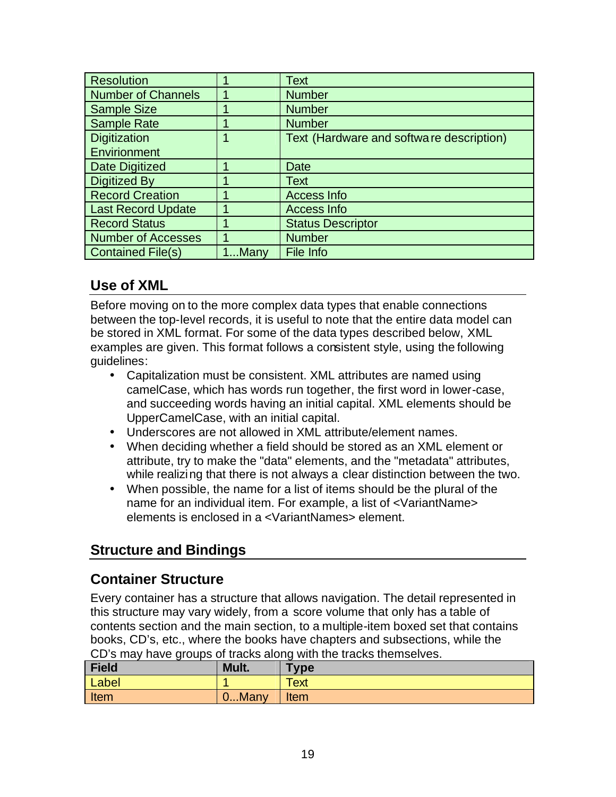| <b>Resolution</b>         |       | <b>Text</b>                              |
|---------------------------|-------|------------------------------------------|
| <b>Number of Channels</b> |       | <b>Number</b>                            |
| <b>Sample Size</b>        |       | <b>Number</b>                            |
| <b>Sample Rate</b>        |       | <b>Number</b>                            |
| <b>Digitization</b>       |       | Text (Hardware and software description) |
| Envirionment              |       |                                          |
| Date Digitized            |       | Date                                     |
| <b>Digitized By</b>       |       | Text                                     |
| <b>Record Creation</b>    |       | Access Info                              |
| <b>Last Record Update</b> |       | Access Info                              |
| <b>Record Status</b>      |       | <b>Status Descriptor</b>                 |
| <b>Number of Accesses</b> |       | <b>Number</b>                            |
| <b>Contained File(s)</b>  | 1Many | File Info                                |

## **Use of XML**

Before moving on to the more complex data types that enable connections between the top-level records, it is useful to note that the entire data model can be stored in XML format. For some of the data types described below, XML examples are given. This format follows a consistent style, using the following guidelines:

- Capitalization must be consistent. XML attributes are named using camelCase, which has words run together, the first word in lower-case, and succeeding words having an initial capital. XML elements should be UpperCamelCase, with an initial capital.
- Underscores are not allowed in XML attribute/element names.
- When deciding whether a field should be stored as an XML element or attribute, try to make the "data" elements, and the "metadata" attributes, while realizing that there is not always a clear distinction between the two.
- When possible, the name for a list of items should be the plural of the name for an individual item. For example, a list of <VariantName> elements is enclosed in a <VariantNames> element.

# **Structure and Bindings**

### **Container Structure**

Every container has a structure that allows navigation. The detail represented in this structure may vary widely, from a score volume that only has a table of contents section and the main section, to a multiple-item boxed set that contains books, CD's, etc., where the books have chapters and subsections, while the CD's may have groups of tracks along with the tracks themselves.

| <b>Field</b> | Mult. | <b>Type</b> |
|--------------|-------|-------------|
| Label        |       | Text        |
| Item         | 0Many | <b>Item</b> |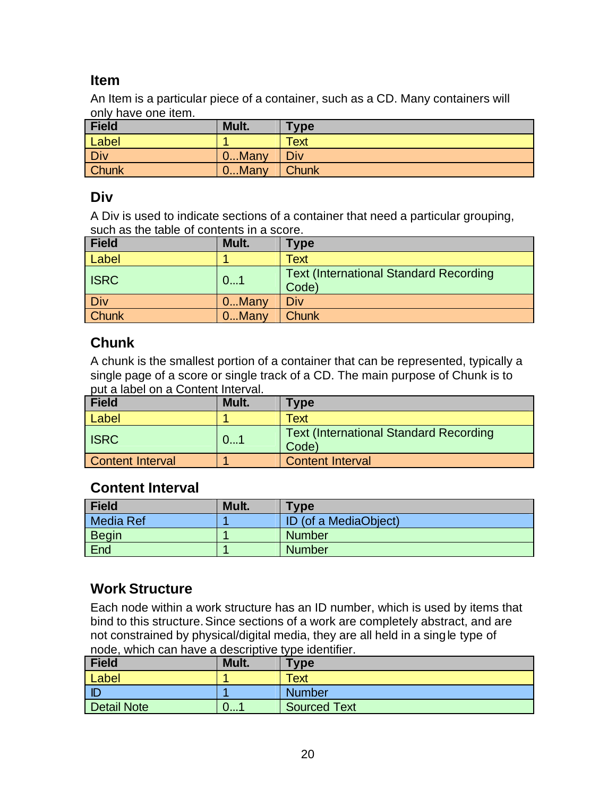### **Item**

An Item is a particular piece of a container, such as a CD. Many containers will only have one item.

| <b>Field</b> | Mult.    | <b>Type</b> |
|--------------|----------|-------------|
| Label        |          | <b>Text</b> |
| <b>Div</b>   | $0$ Many | Div         |
| <b>Chunk</b> | $0$ Many | Chunk       |

### **Div**

A Div is used to indicate sections of a container that need a particular grouping, such as the table of contents in a score.

| Field        | Mult. | <b>Type</b>                                             |
|--------------|-------|---------------------------------------------------------|
| Label        |       | Text                                                    |
| <b>ISRC</b>  | 01    | <b>Text (International Standard Recording)</b><br>Code) |
| <b>Div</b>   | 0Many | Div                                                     |
| <b>Chunk</b> | 0Many | <b>Chunk</b>                                            |

## **Chunk**

A chunk is the smallest portion of a container that can be represented, typically a single page of a score or single track of a CD. The main purpose of Chunk is to put a label on a Content Interval.

| <b>Field</b>            | Mult. | Type                                                    |
|-------------------------|-------|---------------------------------------------------------|
| Label                   |       | Text                                                    |
| <b>ISRC</b>             | 01    | <b>Text (International Standard Recording)</b><br>Code) |
| <b>Content Interval</b> |       | <b>Content Interval</b>                                 |

## **Content Interval**

| Field        | Mult. | <b>Type</b>           |
|--------------|-------|-----------------------|
| Media Ref    |       | ID (of a MediaObject) |
| <b>Begin</b> |       | <b>Number</b>         |
| End          |       | <b>Number</b>         |

# **Work Structure**

Each node within a work structure has an ID number, which is used by items that bind to this structure. Since sections of a work are completely abstract, and are not constrained by physical/digital media, they are all held in a single type of node, which can have a descriptive type identifier.

| <b>Field</b> | Mult.        | <b>Type</b>  |
|--------------|--------------|--------------|
| Label        |              | Text         |
| I ID         |              | Number       |
| Detail Note  | <b>U.I.I</b> | Sourced Text |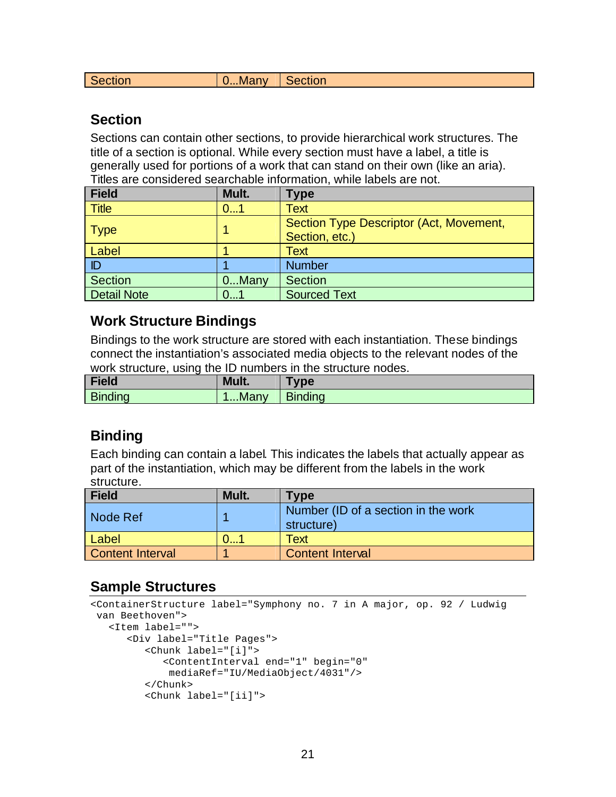|  | Section | <b>J.</b> Many | Section |
|--|---------|----------------|---------|
|--|---------|----------------|---------|

#### **Section**

Sections can contain other sections, to provide hierarchical work structures. The title of a section is optional. While every section must have a label, a title is generally used for portions of a work that can stand on their own (like an aria). Titles are considered searchable information, while labels are not.

| Field                         | Mult.    | <b>Type</b>                                               |
|-------------------------------|----------|-----------------------------------------------------------|
| <b>Title</b>                  | 01       | Text                                                      |
| $\overline{\phantom{a}}$ Type |          | Section Type Descriptor (Act, Movement,<br>Section, etc.) |
| Label                         |          | Text                                                      |
| I ID                          |          | <b>Number</b>                                             |
| Section                       | $0$ Many | <b>Section</b>                                            |
| Detail Note                   | 01       | <b>Sourced Text</b>                                       |

#### **Work Structure Bindings**

Bindings to the work structure are stored with each instantiation. These bindings connect the instantiation's associated media objects to the relevant nodes of the work structure, using the ID numbers in the structure nodes.

| <b>Field</b>   | Mult. | <b>vpe</b>     |
|----------------|-------|----------------|
| <b>Binding</b> | Many  | <b>Binding</b> |

### **Binding**

Each binding can contain a label. This indicates the labels that actually appear as part of the instantiation, which may be different from the labels in the work structure.

| Field            | Mult. | Type                                              |
|------------------|-------|---------------------------------------------------|
| Node Ref         |       | Number (ID of a section in the work<br>structure) |
| Label            |       | <b>Text</b>                                       |
| Content Interval |       | <b>Content Interval</b>                           |

#### **Sample Structures**

```
<ContainerStructure label="Symphony no. 7 in A major, op. 92 / Ludwig
 van Beethoven">
    <Item label="">
       <Div label="Title Pages">
          <Chunk label="[i]">
             <ContentInterval end="1" begin="0"
              mediaRef="IU/MediaObject/4031"/>
          </Chunk>
          <Chunk label="[ii]">
```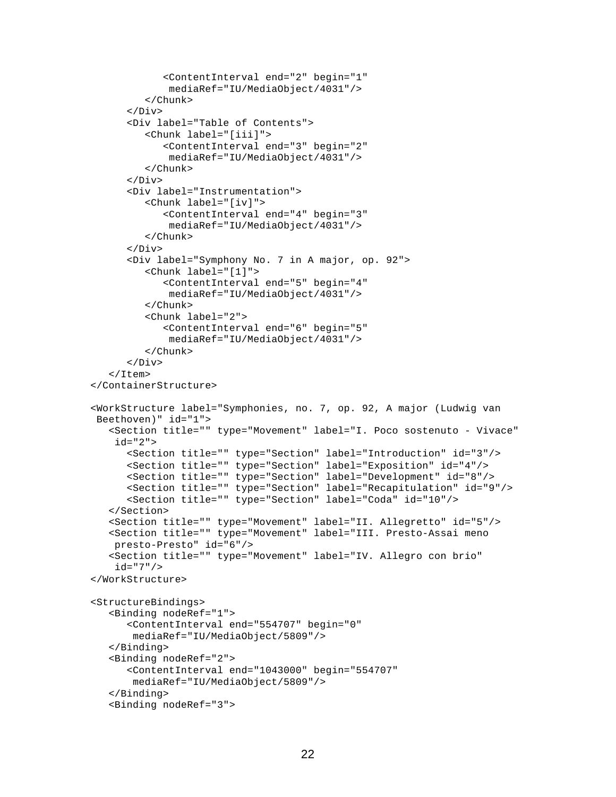```
 <ContentInterval end="2" begin="1"
              mediaRef="IU/MediaObject/4031"/>
          </Chunk>
       </Div>
       <Div label="Table of Contents">
          <Chunk label="[iii]">
             <ContentInterval end="3" begin="2"
              mediaRef="IU/MediaObject/4031"/>
          </Chunk>
       </Div>
       <Div label="Instrumentation">
          <Chunk label="[iv]">
             <ContentInterval end="4" begin="3"
              mediaRef="IU/MediaObject/4031"/>
          </Chunk>
       </Div>
       <Div label="Symphony No. 7 in A major, op. 92">
          <Chunk label="[1]">
             <ContentInterval end="5" begin="4"
              mediaRef="IU/MediaObject/4031"/>
          </Chunk>
          <Chunk label="2">
             <ContentInterval end="6" begin="5"
              mediaRef="IU/MediaObject/4031"/>
          </Chunk>
      \langleDiv> </Item>
</ContainerStructure>
<WorkStructure label="Symphonies, no. 7, op. 92, A major (Ludwig van 
  Beethoven)" id="1">
    <Section title="" type="Movement" label="I. Poco sostenuto - Vivace" 
     id="2">
       <Section title="" type="Section" label="Introduction" id="3"/>
       <Section title="" type="Section" label="Exposition" id="4"/>
       <Section title="" type="Section" label="Development" id="8"/>
       <Section title="" type="Section" label="Recapitulation" id="9"/>
       <Section title="" type="Section" label="Coda" id="10"/>
    </Section>
    <Section title="" type="Movement" label="II. Allegretto" id="5"/>
    <Section title="" type="Movement" label="III. Presto-Assai meno
    presto-Presto" id="6"/>
    <Section title="" type="Movement" label="IV. Allegro con brio"
     id="7"/>
</WorkStructure>
<StructureBindings>
    <Binding nodeRef="1">
       <ContentInterval end="554707" begin="0"
        mediaRef="IU/MediaObject/5809"/>
    </Binding>
    <Binding nodeRef="2">
       <ContentInterval end="1043000" begin="554707"
        mediaRef="IU/MediaObject/5809"/> 
    </Binding>
    <Binding nodeRef="3">
```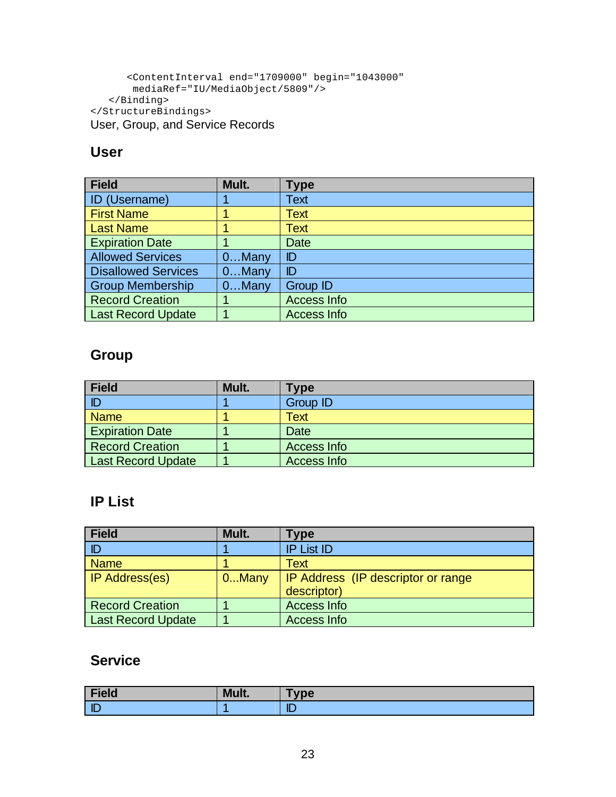```
 <ContentInterval end="1709000" begin="1043000"
        mediaRef="IU/MediaObject/5809"/> 
    </Binding>
</StructureBindings>
User, Group, and Service Records
```
## **User**

| <b>Field</b>               | Mult.    | <b>Type</b>        |
|----------------------------|----------|--------------------|
| <b>ID</b> (Username)       |          | Text               |
| <b>First Name</b>          |          | Text               |
| <b>Last Name</b>           |          | Text               |
| <b>Expiration Date</b>     |          | <b>Date</b>        |
| <b>Allowed Services</b>    | 0Many    | ID                 |
| <b>Disallowed Services</b> | $0$ Many | ID                 |
| <b>Group Membership</b>    | $0$ Many | <b>Group ID</b>    |
| <b>Record Creation</b>     |          | <b>Access Info</b> |
| <b>Last Record Update</b>  |          | <b>Access Info</b> |

### **Group**

| <b>Field</b>              | Mult. | <b>Type</b>     |
|---------------------------|-------|-----------------|
|                           |       | <b>Group ID</b> |
| <b>Name</b>               |       | Text            |
| <b>Expiration Date</b>    |       | Date            |
| <b>Record Creation</b>    |       | Access Info     |
| <b>Last Record Update</b> |       | Access Info     |

# **IP List**

| <b>Field</b>              | Mult.    | Type                                |
|---------------------------|----------|-------------------------------------|
| D                         |          | <b>IP List ID</b>                   |
| <b>Name</b>               |          | Text                                |
| <b>IP Address(es)</b>     | $0$ Many | IP Address (IP descriptor or range) |
|                           |          | descriptor)                         |
| <b>Record Creation</b>    |          | <b>Access Info</b>                  |
| <b>Last Record Update</b> |          | <b>Access Info</b>                  |

### **Service**

| Field     | Mult. | <b>vpe</b> |
|-----------|-------|------------|
| <b>ID</b> |       | m<br>ப     |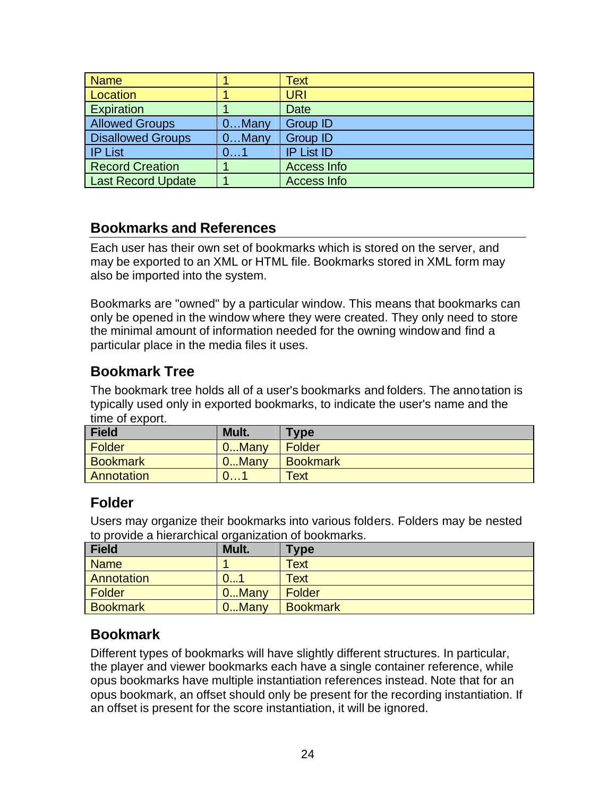| <b>Name</b>               |          | Text               |
|---------------------------|----------|--------------------|
| Location                  |          | <b>URI</b>         |
| Expiration                |          | Date               |
| <b>Allowed Groups</b>     | $0$ Many | <b>Group ID</b>    |
| <b>Disallowed Groups</b>  | $0$ Many | <b>Group ID</b>    |
| <b>IP List</b>            | 01       | <b>IP List ID</b>  |
| <b>Record Creation</b>    |          | <b>Access Info</b> |
| <b>Last Record Update</b> |          | <b>Access Info</b> |

### **Bookmarks and References**

Each user has their own set of bookmarks which is stored on the server, and may be exported to an XML or HTML file. Bookmarks stored in XML form may also be imported into the system.

Bookmarks are "owned" by a particular window. This means that bookmarks can only be opened in the window where they were created. They only need to store the minimal amount of information needed for the owning window and find a particular place in the media files it uses.

### **Bookmark Tree**

The bookmark tree holds all of a user's bookmarks and folders. The annotation is typically used only in exported bookmarks, to indicate the user's name and the time of export.

| <b>Field</b>    | Mult.        | Type            |
|-----------------|--------------|-----------------|
| Folder          | $0$ Many     | Folder          |
| <b>Bookmark</b> | 0Many        | <b>Bookmark</b> |
| Annotation      | <b>U.I.I</b> | Text            |

### **Folder**

Users may organize their bookmarks into various folders. Folders may be nested to provide a hierarchical organization of bookmarks.

| Field           | Mult.    | <b>Type</b>     |
|-----------------|----------|-----------------|
| <b>Name</b>     |          | <b>Text</b>     |
| Annotation      | 0        | Text            |
| Folder          | $0$ Many | Folder          |
| <b>Bookmark</b> | 0Many    | <b>Bookmark</b> |

### **Bookmark**

Different types of bookmarks will have slightly different structures. In particular, the player and viewer bookmarks each have a single container reference, while opus bookmarks have multiple instantiation references instead. Note that for an opus bookmark, an offset should only be present for the recording instantiation. If an offset is present for the score instantiation, it will be ignored.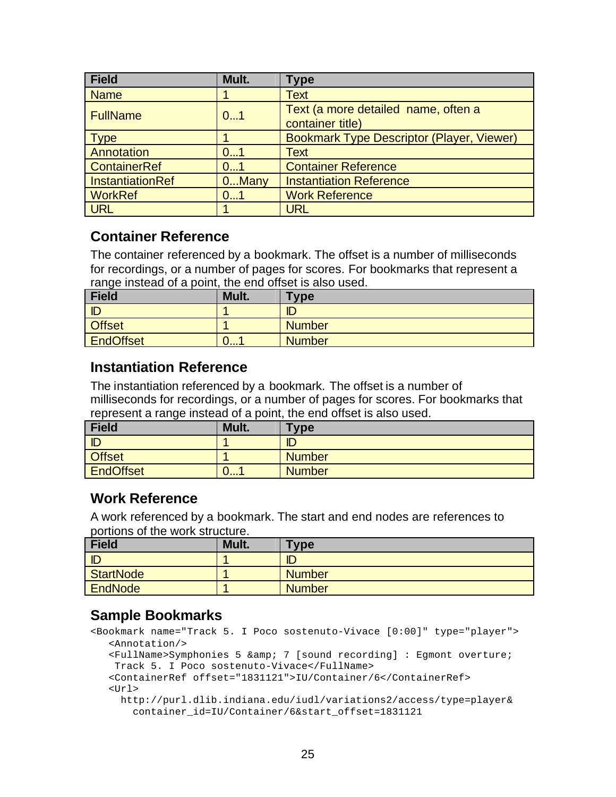| <b>Field</b>     | Mult. | <b>Type</b>                                             |
|------------------|-------|---------------------------------------------------------|
| <b>Name</b>      |       | <b>Text</b>                                             |
| <b>FullName</b>  | 01    | Text (a more detailed name, often a<br>container title) |
| <b>Type</b>      |       | <b>Bookmark Type Descriptor (Player, Viewer)</b>        |
| Annotation       | 01    | <b>Text</b>                                             |
| ContainerRef     | 01    | <b>Container Reference</b>                              |
| InstantiationRef | 0Many | <b>Instantiation Reference</b>                          |
| <b>WorkRef</b>   | 01    | <b>Work Reference</b>                                   |
| <b>URL</b>       |       | <b>URL</b>                                              |

#### **Container Reference**

The container referenced by a bookmark. The offset is a number of milliseconds for recordings, or a number of pages for scores. For bookmarks that represent a range instead of a point, the end offset is also used.

| <b>Field</b>  | Mult. | <b>Type</b>   |
|---------------|-------|---------------|
| ID            |       | ID            |
| <b>Offset</b> |       | <b>Number</b> |
| EndOffset     | ∪…⊣   | <b>Number</b> |

#### **Instantiation Reference**

The instantiation referenced by a bookmark. The offset is a number of milliseconds for recordings, or a number of pages for scores. For bookmarks that represent a range instead of a point, the end offset is also used.

| Field            | Mult. | <b>Type</b>   |
|------------------|-------|---------------|
| ID               |       | ID            |
| <b>Offset</b>    |       | <b>Number</b> |
| <b>EndOffset</b> | 0…1   | Number        |

#### **Work Reference**

A work referenced by a bookmark. The start and end nodes are references to portions of the work structure.

| <b>Field</b>     | Mult. | <b>Type</b>   |
|------------------|-------|---------------|
| ID               |       | ID            |
| <b>StartNode</b> |       | <b>Number</b> |
| EndNode          |       | <b>Number</b> |

### **Sample Bookmarks**

```
<Bookmark name="Track 5. I Poco sostenuto-Vivace [0:00]" type="player">
    <Annotation/>
   \epsilonFullName>Symphonies 5 & amp; 7 [sound recording] : Eqmont overture;
```

```
 Track 5. I Poco sostenuto-Vivace</FullName>
```

```
 <ContainerRef offset="1831121">IU/Container/6</ContainerRef>
<Ur] >
```

```
 http://purl.dlib.indiana.edu/iudl/variations2/access/type=player&
  container_id=IU/Container/6&start_offset=1831121
```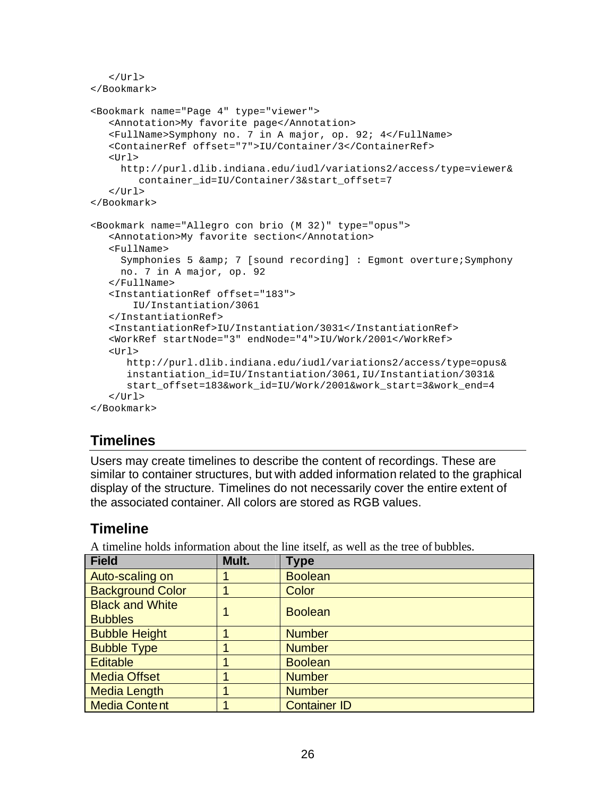```
\langle/Url></Bookmark>
<Bookmark name="Page 4" type="viewer">
    <Annotation>My favorite page</Annotation>
    <FullName>Symphony no. 7 in A major, op. 92; 4</FullName>
    <ContainerRef offset="7">IU/Container/3</ContainerRef>
   <Ur] >
      http://purl.dlib.indiana.edu/iudl/variations2/access/type=viewer&
        container_id=IU/Container/3&start_offset=7
   \langleUrl>
</Bookmark>
<Bookmark name="Allegro con brio (M 32)" type="opus">
    <Annotation>My favorite section</Annotation>
    <FullName>
     Symphonies 5 & amp; 7 [sound recording] : Egmont overture; Symphony
      no. 7 in A major, op. 92
    </FullName>
    <InstantiationRef offset="183">
        IU/Instantiation/3061
    </InstantiationRef>
    <InstantiationRef>IU/Instantiation/3031</InstantiationRef>
    <WorkRef startNode="3" endNode="4">IU/Work/2001</WorkRef>
   <Ur] >
       http://purl.dlib.indiana.edu/iudl/variations2/access/type=opus&
       instantiation_id=IU/Instantiation/3061,IU/Instantiation/3031&
       start_offset=183&work_id=IU/Work/2001&work_start=3&work_end=4
   \epsilon/Url>
</Bookmark>
```
### **Timelines**

Users may create timelines to describe the content of recordings. These are similar to container structures, but with added information related to the graphical display of the structure. Timelines do not necessarily cover the entire extent of the associated container. All colors are stored as RGB values.

#### **Timeline**

A timeline holds information about the line itself, as well as the tree of bubbles.

| <b>Field</b>            | Mult. | <b>Type</b>         |
|-------------------------|-------|---------------------|
| Auto-scaling on         |       | <b>Boolean</b>      |
| <b>Background Color</b> |       | Color               |
| <b>Black and White</b>  |       | <b>Boolean</b>      |
| <b>Bubbles</b>          |       |                     |
| <b>Bubble Height</b>    |       | <b>Number</b>       |
| <b>Bubble Type</b>      |       | <b>Number</b>       |
| <b>Editable</b>         |       | <b>Boolean</b>      |
| <b>Media Offset</b>     |       | <b>Number</b>       |
| <b>Media Length</b>     |       | <b>Number</b>       |
| <b>Media Content</b>    |       | <b>Container ID</b> |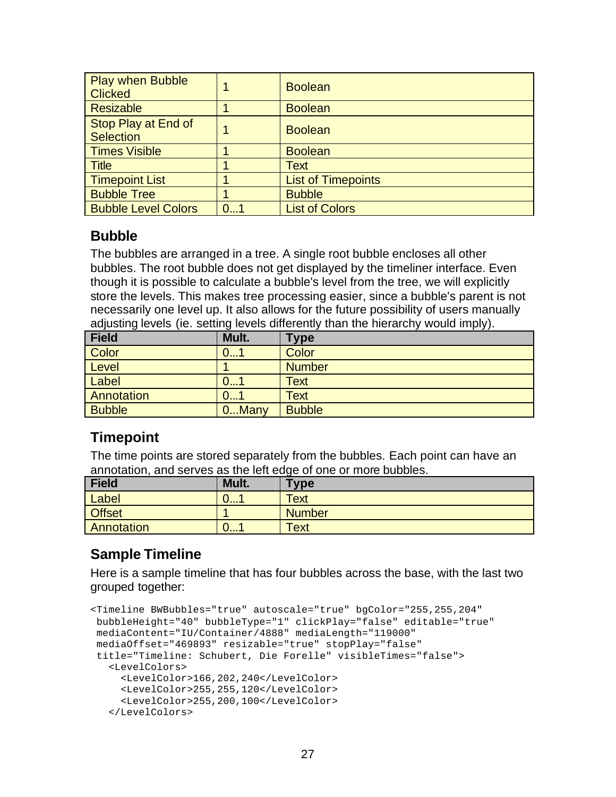| <b>Play when Bubble</b><br><b>Clicked</b> |    | <b>Boolean</b>            |
|-------------------------------------------|----|---------------------------|
| <b>Resizable</b>                          |    | <b>Boolean</b>            |
| Stop Play at End of<br><b>Selection</b>   |    | <b>Boolean</b>            |
| Times Visible                             |    | <b>Boolean</b>            |
| Title                                     |    | Text                      |
| <b>Timepoint List</b>                     |    | <b>List of Timepoints</b> |
| <b>Bubble Tree</b>                        |    | <b>Bubble</b>             |
| <b>Bubble Level Colors</b>                | 01 | <b>List of Colors</b>     |

#### **Bubble**

The bubbles are arranged in a tree. A single root bubble encloses all other bubbles. The root bubble does not get displayed by the timeliner interface. Even though it is possible to calculate a bubble's level from the tree, we will explicitly store the levels. This makes tree processing easier, since a bubble's parent is not necessarily one level up. It also allows for the future possibility of users manually adjusting levels (ie. setting levels differently than the hierarchy would imply).

| <b>Field</b>  | $\tilde{\phantom{a}}$<br>Mult. | .<br><b>Type</b> |
|---------------|--------------------------------|------------------|
| Color         | ∪…1                            | Color            |
| Level         |                                | <b>Number</b>    |
| Label         | U1                             | <b>Text</b>      |
| Annotation    | ∪…´                            | <b>Text</b>      |
| <b>Bubble</b> | 0Many                          | <b>Bubble</b>    |

### **Timepoint**

The time points are stored separately from the bubbles. Each point can have an annotation, and serves as the left edge of one or more bubbles.

| <b>Field</b>  | Mult. | <b>Type</b>   |
|---------------|-------|---------------|
| Label         | U I   | <b>Text</b>   |
| <b>Offset</b> |       | <b>Number</b> |
| Annotation    | v i   | <b>Text</b>   |

## **Sample Timeline**

Here is a sample timeline that has four bubbles across the base, with the last two grouped together:

```
<Timeline BWBubbles="true" autoscale="true" bgColor="255,255,204" 
bubbleHeight="40" bubbleType="1" clickPlay="false" editable="true" 
mediaContent="IU/Container/4888" mediaLength="119000" 
mediaOffset="469893" resizable="true" stopPlay="false" 
 title="Timeline: Schubert, Die Forelle" visibleTimes="false">
    <LevelColors>
      <LevelColor>166,202,240</LevelColor> 
      <LevelColor>255,255,120</LevelColor> 
      <LevelColor>255,200,100</LevelColor> 
    </LevelColors>
```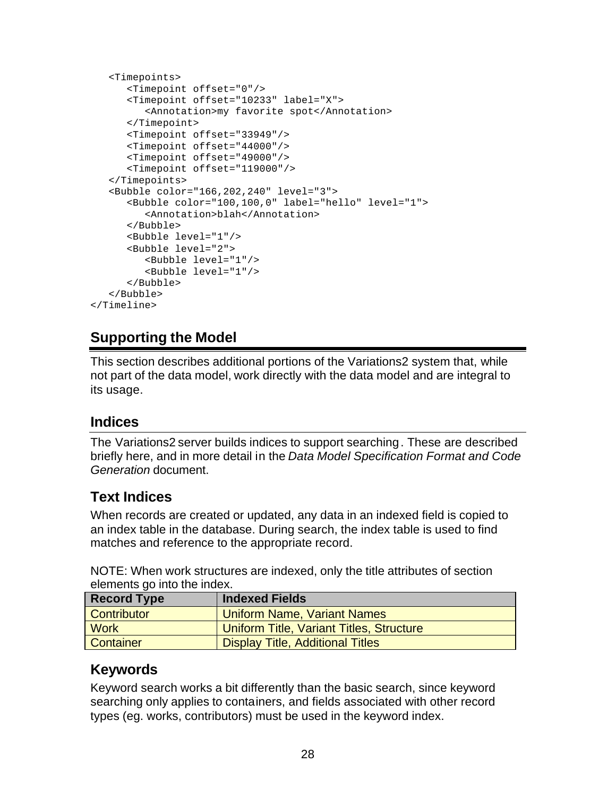```
 <Timepoints>
       <Timepoint offset="0"/> 
       <Timepoint offset="10233" label="X">
          <Annotation>my favorite spot</Annotation>
       </Timepoint>
       <Timepoint offset="33949"/>
       <Timepoint offset="44000"/>
       <Timepoint offset="49000"/>
       <Timepoint offset="119000"/>
    </Timepoints>
    <Bubble color="166,202,240" level="3">
       <Bubble color="100,100,0" label="hello" level="1">
          <Annotation>blah</Annotation>
       </Bubble>
       <Bubble level="1"/>
       <Bubble level="2">
          <Bubble level="1"/>
          <Bubble level="1"/>
       </Bubble>
    </Bubble>
</Timeline>
```
### **Supporting the Model**

This section describes additional portions of the Variations2 system that, while not part of the data model, work directly with the data model and are integral to its usage.

#### **Indices**

The Variations2 server builds indices to support searching. These are described briefly here, and in more detail in the *Data Model Specification Format and Code Generation* document.

## **Text Indices**

When records are created or updated, any data in an indexed field is copied to an index table in the database. During search, the index table is used to find matches and reference to the appropriate record.

NOTE: When work structures are indexed, only the title attributes of section elements go into the index.

| <b>Record Type</b> | <b>Indexed Fields</b>                    |
|--------------------|------------------------------------------|
| Contributor        | Uniform Name, Variant Names              |
| <b>Work</b>        | Uniform Title, Variant Titles, Structure |
| Container          | <b>Display Title, Additional Titles</b>  |

### **Keywords**

Keyword search works a bit differently than the basic search, since keyword searching only applies to containers, and fields associated with other record types (eg. works, contributors) must be used in the keyword index.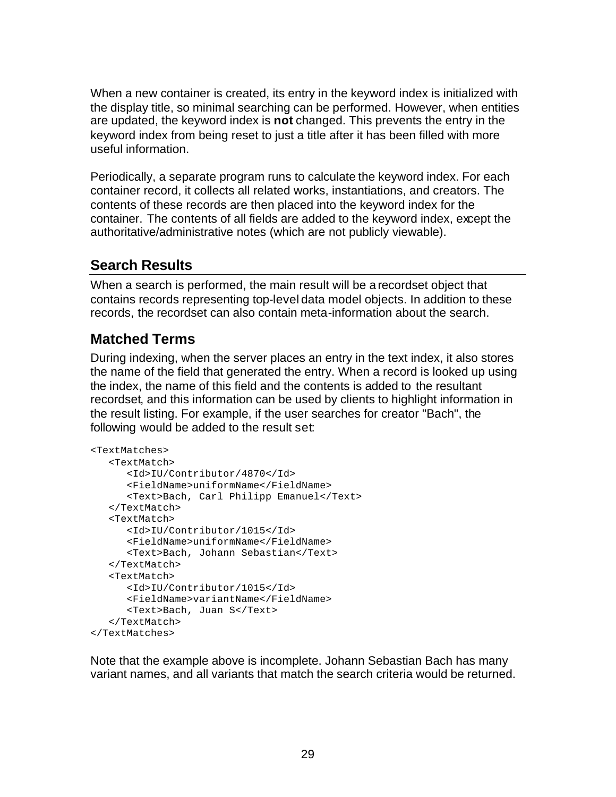When a new container is created, its entry in the keyword index is initialized with the display title, so minimal searching can be performed. However, when entities are updated, the keyword index is **not** changed. This prevents the entry in the keyword index from being reset to just a title after it has been filled with more useful information.

Periodically, a separate program runs to calculate the keyword index. For each container record, it collects all related works, instantiations, and creators. The contents of these records are then placed into the keyword index for the container. The contents of all fields are added to the keyword index, except the authoritative/administrative notes (which are not publicly viewable).

# **Search Results**

When a search is performed, the main result will be a recordset object that contains records representing top-level data model objects. In addition to these records, the recordset can also contain meta-information about the search.

## **Matched Terms**

During indexing, when the server places an entry in the text index, it also stores the name of the field that generated the entry. When a record is looked up using the index, the name of this field and the contents is added to the resultant recordset, and this information can be used by clients to highlight information in the result listing. For example, if the user searches for creator "Bach", the following would be added to the result set:

```
<TextMatches>
    <TextMatch>
       <Id>IU/Contributor/4870</Id>
       <FieldName>uniformName</FieldName>
       <Text>Bach, Carl Philipp Emanuel</Text>
    </TextMatch>
    <TextMatch>
       <Id>IU/Contributor/1015</Id>
       <FieldName>uniformName</FieldName>
       <Text>Bach, Johann Sebastian</Text>
    </TextMatch>
    <TextMatch>
       <Id>IU/Contributor/1015</Id>
       <FieldName>variantName</FieldName>
       <Text>Bach, Juan S</Text>
    </TextMatch>
</TextMatches>
```
Note that the example above is incomplete. Johann Sebastian Bach has many variant names, and all variants that match the search criteria would be returned.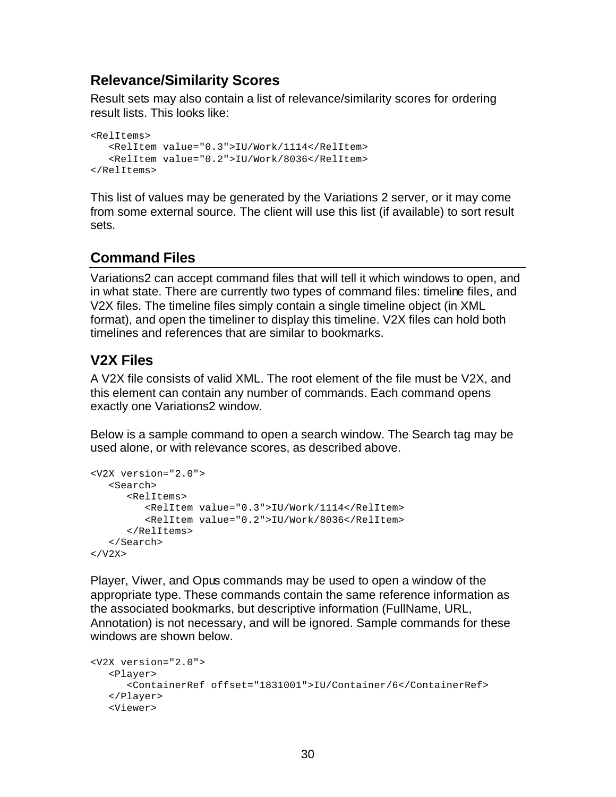### **Relevance/Similarity Scores**

Result sets may also contain a list of relevance/similarity scores for ordering result lists. This looks like:

<RelItems> <RelItem value="0.3">IU/Work/1114</RelItem> <RelItem value="0.2">IU/Work/8036</RelItem> </RelItems>

This list of values may be generated by the Variations 2 server, or it may come from some external source. The client will use this list (if available) to sort result sets.

### **Command Files**

Variations2 can accept command files that will tell it which windows to open, and in what state. There are currently two types of command files: timeline files, and V2X files. The timeline files simply contain a single timeline object (in XML format), and open the timeliner to display this timeline. V2X files can hold both timelines and references that are similar to bookmarks.

### **V2X Files**

A V2X file consists of valid XML. The root element of the file must be V2X, and this element can contain any number of commands. Each command opens exactly one Variations2 window.

Below is a sample command to open a search window. The Search tag may be used alone, or with relevance scores, as described above.

```
<V2X version="2.0">
    <Search>
       <RelItems>
          <RelItem value="0.3">IU/Work/1114</RelItem>
          <RelItem value="0.2">IU/Work/8036</RelItem>
       </RelItems>
    </Search>
\langle/V2X>
```
Player, Viwer, and Opus commands may be used to open a window of the appropriate type. These commands contain the same reference information as the associated bookmarks, but descriptive information (FullName, URL, Annotation) is not necessary, and will be ignored. Sample commands for these windows are shown below.

```
<V2X version="2.0">
    <Player>
       <ContainerRef offset="1831001">IU/Container/6</ContainerRef>
    </Player>
    <Viewer>
```